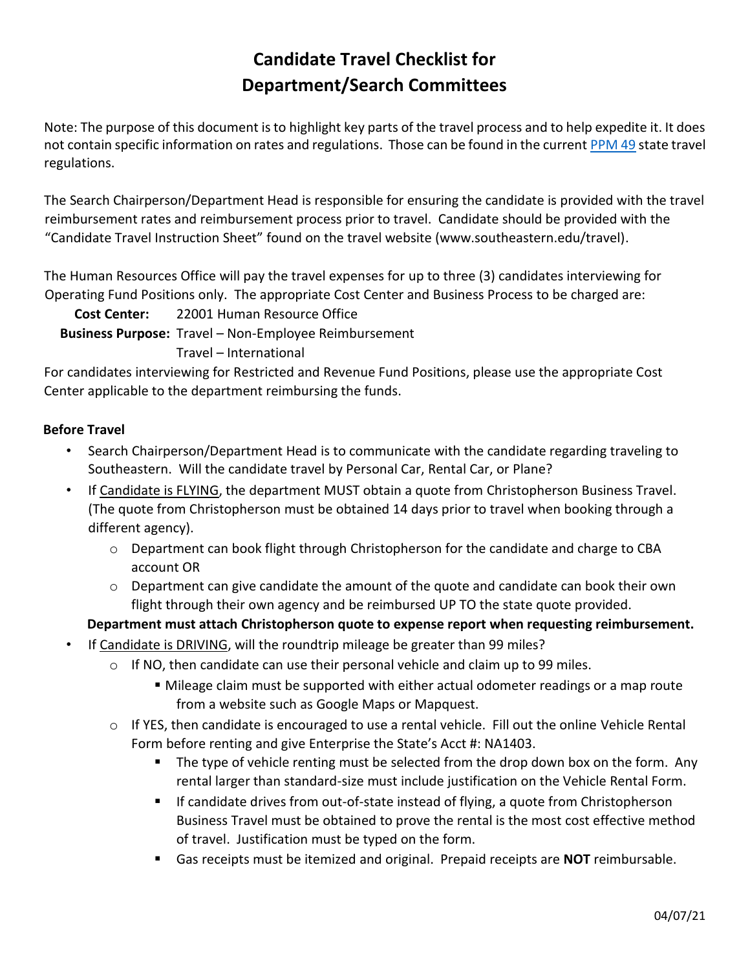## **Candidate Travel Checklist for Department/Search Committees**

Note: The purpose of this document is to highlight key parts of the travel process and to help expedite it. It does not contain specific information on rates and regulations. Those can be found in the current [PPM 49](https://www.doa.la.gov/doa/ost/policy/) state travel regulations.

The Search Chairperson/Department Head is responsible for ensuring the candidate is provided with the travel reimbursement rates and reimbursement process prior to travel. Candidate should be provided with the "Candidate Travel Instruction Sheet" found on the travel website (www.southeastern.edu/travel).

The Human Resources Office will pay the travel expenses for up to three (3) candidates interviewing for Operating Fund Positions only. The appropriate Cost Center and Business Process to be charged are:

**Cost Center:** 22001 Human Resource Office

**Business Purpose:** Travel – Non-Employee Reimbursement

Travel – International

For candidates interviewing for Restricted and Revenue Fund Positions, please use the appropriate Cost Center applicable to the department reimbursing the funds.

## **Before Travel**

- Search Chairperson/Department Head is to communicate with the candidate regarding traveling to Southeastern. Will the candidate travel by Personal Car, Rental Car, or Plane?
- If Candidate is FLYING, the department MUST obtain a quote from Christopherson Business Trave[l.](http://www.shortstravel.com/la) (The quote from Christopherson must be obtained 14 days prior to travel when booking through a different agency).
	- $\circ$  Department can book flight through Christopherson for the candidate and charge to CBA account OR
	- $\circ$  Department can give candidate the amount of the quote and candidate can book their own flight through their own agency and be reimbursed UP TO the state quote provided.

**Department must attach Christopherson quote to expense report when requesting reimbursement.**

- If Candidate is DRIVING, will the roundtrip mileage be greater than 99 miles?
	- $\circ$  If NO, then candidate can use their personal vehicle and claim up to 99 miles.
		- Mileage claim must be supported with either actual odometer readings or a map route from a website such as Google Maps or Mapquest.
	- $\circ$  If YES, th[e](http://www.southeastern.edu/admin/controller/facultystaff/travel/assets/VehicleRentalFormnew18.pdf)n candidate is encouraged to use a renta[l](http://www.southeastern.edu/admin/controller/facultystaff/travel/assets/VehicleRentalFormnew18.pdf) vehicle. Fill out the online Vehicle Rental Form [b](http://www.southeastern.edu/admin/controller/facultystaff/travel/assets/VehicleRentalFormnew18.pdf)efore renting and give Enterprise the State's Acct #: NA1403.
		- **The type of vehicle renting must be selected from the drop down box on the form.** Any rental larger than standard-size must include justification on the Vehicle Rental Form.
		- If candidate drives from out-of-state instead of flying, a quote from Christopherson Business Travel must be obtained to prove the rental is the most cost effective method of travel. Justification must be typed on the form.
		- Gas receipts must be itemized and original. Prepaid receipts are **NOT** reimbursable.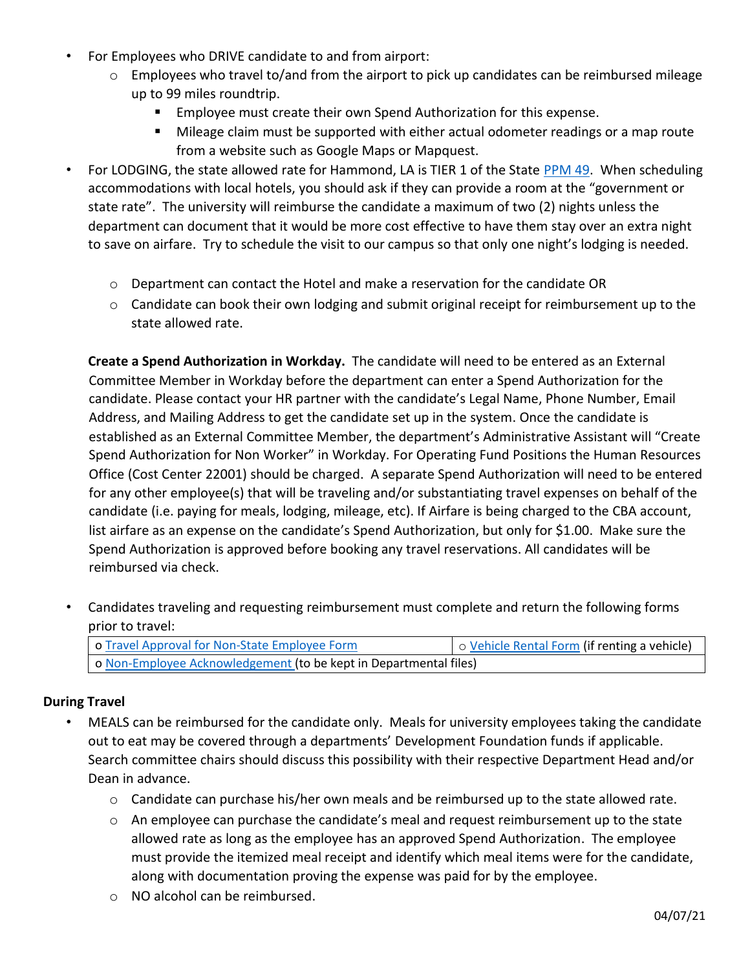- For Employees who DRIVE candidate to and from airport:
	- $\circ$  Employees who travel to/and from the airport to pick up candidates can be reimbursed mileage up to 99 miles roundtrip.
		- **Employee must create their own Spend Authorization for this expense.**
		- Mileage claim must be supported with either actual odometer readings or a map route from a website such as Google Maps or Mapquest.
- For LODGING, the state allowed rate for Hammond, LA is TIER 1 of the State [PPM 49.](https://www.doa.la.gov/doa/ost/policy/) When scheduling accommodations with local hotels, you should ask if they can provide a room at the "government or state rate". The university will reimburse the candidate a maximum of two (2) nights unless the department can document that it would be more cost effective to have them stay over an extra night to save on airfare. Try to schedule the visit to our campus so that only one night's lodging is needed.
	- $\circ$  Department can contact the Hotel and make a reservation for the candidate OR
	- $\circ$  Candidate can book their own lodging and submit original receipt for reimbursement up to the state allowed rate.

**Create a Spend Authorization in Workday.** The candidate will need to be entered as an External Committee Member in Workday before the department can enter a Spend Authorization for the candidate. Please contact your HR partner with the candidate's Legal Name, Phone Number, Email Address, and Mailing Address to get the candidate set up in the system. Once the candidate is established as an External Committee Member, the department's Administrative Assistant will "Create Spend Authorization for Non Worker" in Workday. For Operating Fund Positions the Human Resources Office (Cost Center 22001) should be charged. A separate Spend Authorization will need to be entered for any other employee(s) that will be traveling and/or substantiating travel expenses on behalf of the candidate (i.e. paying for meals, lodging, mileage, etc). If Airfare is being charged to the CBA account, list airfare as an expense on the candidate's Spend Authorization, but only for \$1.00. Make sure the Spend Authorization is approved before booking any travel reservations. All candidates will be reimbursed via check.

• Candidates traveling and requesting reimbursement must complete and return the following forms prior to travel:

| o Travel Approval for Non-State Employee Form                     | o Vehicle Rental Form (if renting a vehicle) |
|-------------------------------------------------------------------|----------------------------------------------|
| o Non-Employee Acknowledgement (to be kept in Departmental files) |                                              |

## **During Travel**

- MEALS can be reimbursed for the candidate only. Meals for university employees taking the candidate out to eat may be covered through a departments' Development Foundation funds if applicable. Search committee chairs should discuss this possibility with their respective Department Head and/or Dean in advance.
	- $\circ$  Candidate can purchase his/her own meals and be reimbursed up to the state allowed rate.
	- $\circ$  An employee can purchase the candidate's meal and request reimbursement up to the state allowed rate as long as the employee has an approved Spend Authorization. The employee must provide the itemized meal receipt and identify which meal items were for the candidate, along with documentation proving the expense was paid for by the employee.
	- o NO alcohol can be reimbursed.